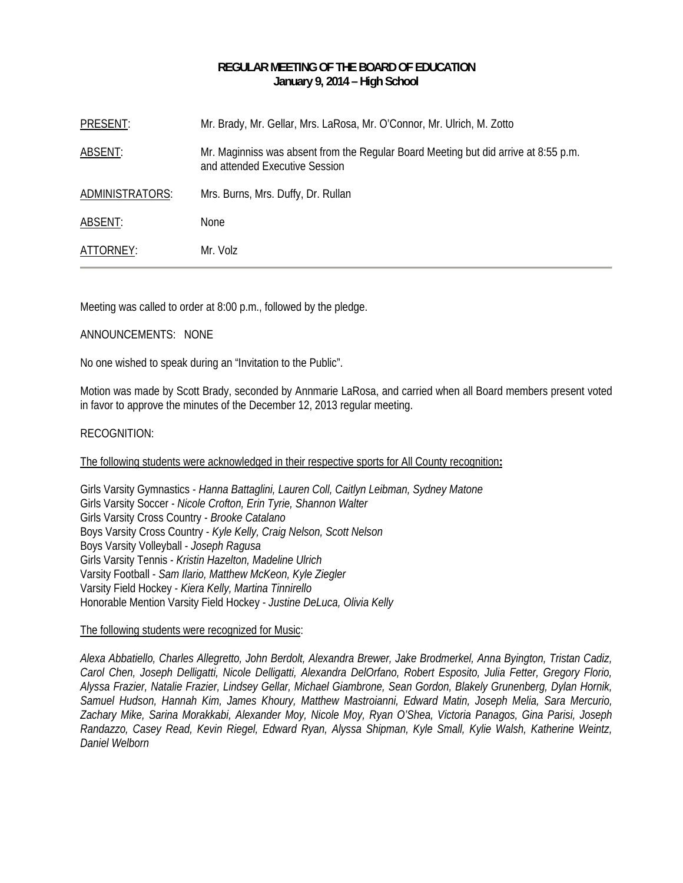## **REGULAR MEETING OF THE BOARD OF EDUCATION January 9, 2014 – High School**

| PRESENT:        | Mr. Brady, Mr. Gellar, Mrs. LaRosa, Mr. O'Connor, Mr. Ulrich, M. Zotto                                                |
|-----------------|-----------------------------------------------------------------------------------------------------------------------|
| ABSENT:         | Mr. Maginniss was absent from the Regular Board Meeting but did arrive at 8:55 p.m.<br>and attended Executive Session |
| ADMINISTRATORS: | Mrs. Burns, Mrs. Duffy, Dr. Rullan                                                                                    |
| ABSENT:         | <b>None</b>                                                                                                           |
| ATTORNEY:       | Mr. Volz                                                                                                              |

Meeting was called to order at 8:00 p.m., followed by the pledge.

#### ANNOUNCEMENTS: NONE

No one wished to speak during an "Invitation to the Public".

Motion was made by Scott Brady, seconded by Annmarie LaRosa, and carried when all Board members present voted in favor to approve the minutes of the December 12, 2013 regular meeting.

#### RECOGNITION:

#### The following students were acknowledged in their respective sports for All County recognition**:**

Girls Varsity Gymnastics - *Hanna Battaglini, Lauren Coll, Caitlyn Leibman, Sydney Matone*  Girls Varsity Soccer - *Nicole Crofton, Erin Tyrie, Shannon Walter* Girls Varsity Cross Country - *Brooke Catalano* Boys Varsity Cross Country - *Kyle Kelly, Craig Nelson, Scott Nelson*  Boys Varsity Volleyball - *Joseph Ragusa* Girls Varsity Tennis - *Kristin Hazelton, Madeline Ulrich* Varsity Football - *Sam Ilario, Matthew McKeon, Kyle Ziegler* Varsity Field Hockey - *Kiera Kelly, Martina Tinnirello* Honorable Mention Varsity Field Hockey - *Justine DeLuca, Olivia Kelly* 

#### The following students were recognized for Music:

*Alexa Abbatiello, Charles Allegretto, John Berdolt, Alexandra Brewer, Jake Brodmerkel, Anna Byington, Tristan Cadiz, Carol Chen, Joseph Delligatti, Nicole Delligatti, Alexandra DelOrfano, Robert Esposito, Julia Fetter, Gregory Florio, Alyssa Frazier, Natalie Frazier, Lindsey Gellar, Michael Giambrone, Sean Gordon, Blakely Grunenberg, Dylan Hornik, Samuel Hudson, Hannah Kim, James Khoury, Matthew Mastroianni, Edward Matin, Joseph Melia, Sara Mercurio, Zachary Mike, Sarina Morakkabi, Alexander Moy, Nicole Moy, Ryan O'Shea, Victoria Panagos, Gina Parisi, Joseph Randazzo, Casey Read, Kevin Riegel, Edward Ryan, Alyssa Shipman, Kyle Small, Kylie Walsh, Katherine Weintz, Daniel Welborn*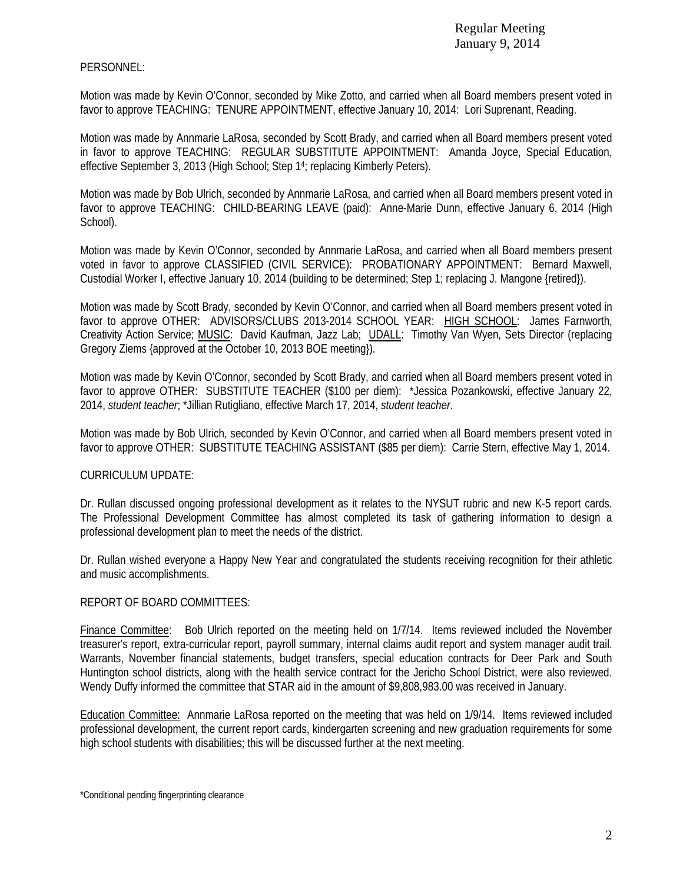# PERSONNEL:

Motion was made by Kevin O'Connor, seconded by Mike Zotto, and carried when all Board members present voted in favor to approve TEACHING: TENURE APPOINTMENT, effective January 10, 2014: Lori Suprenant, Reading.

Motion was made by Annmarie LaRosa, seconded by Scott Brady, and carried when all Board members present voted in favor to approve TEACHING: REGULAR SUBSTITUTE APPOINTMENT: Amanda Joyce, Special Education, effective September 3, 2013 (High School; Step 14; replacing Kimberly Peters).

Motion was made by Bob Ulrich, seconded by Annmarie LaRosa, and carried when all Board members present voted in favor to approve TEACHING: CHILD-BEARING LEAVE (paid): Anne-Marie Dunn, effective January 6, 2014 (High School).

Motion was made by Kevin O'Connor, seconded by Annmarie LaRosa, and carried when all Board members present voted in favor to approve CLASSIFIED (CIVIL SERVICE): PROBATIONARY APPOINTMENT: Bernard Maxwell, Custodial Worker I, effective January 10, 2014 (building to be determined; Step 1; replacing J. Mangone {retired}).

Motion was made by Scott Brady, seconded by Kevin O'Connor, and carried when all Board members present voted in favor to approve OTHER: ADVISORS/CLUBS 2013-2014 SCHOOL YEAR: HIGH SCHOOL: James Farnworth, Creativity Action Service; MUSIC: David Kaufman, Jazz Lab; UDALL: Timothy Van Wyen, Sets Director (replacing Gregory Ziems {approved at the October 10, 2013 BOE meeting}).

Motion was made by Kevin O'Connor, seconded by Scott Brady, and carried when all Board members present voted in favor to approve OTHER: SUBSTITUTE TEACHER (\$100 per diem): \*Jessica Pozankowski, effective January 22, 2014, *student teacher*; \*Jillian Rutigliano, effective March 17, 2014, *student teacher*.

Motion was made by Bob Ulrich, seconded by Kevin O'Connor, and carried when all Board members present voted in favor to approve OTHER: SUBSTITUTE TEACHING ASSISTANT (\$85 per diem): Carrie Stern, effective May 1, 2014.

# CURRICULUM UPDATE:

Dr. Rullan discussed ongoing professional development as it relates to the NYSUT rubric and new K-5 report cards. The Professional Development Committee has almost completed its task of gathering information to design a professional development plan to meet the needs of the district.

Dr. Rullan wished everyone a Happy New Year and congratulated the students receiving recognition for their athletic and music accomplishments.

# REPORT OF BOARD COMMITTEES:

Finance Committee: Bob Ulrich reported on the meeting held on 1/7/14. Items reviewed included the November treasurer's report, extra-curricular report, payroll summary, internal claims audit report and system manager audit trail. Warrants, November financial statements, budget transfers, special education contracts for Deer Park and South Huntington school districts, along with the health service contract for the Jericho School District, were also reviewed. Wendy Duffy informed the committee that STAR aid in the amount of \$9,808,983.00 was received in January.

Education Committee: Annmarie LaRosa reported on the meeting that was held on 1/9/14. Items reviewed included professional development, the current report cards, kindergarten screening and new graduation requirements for some high school students with disabilities; this will be discussed further at the next meeting.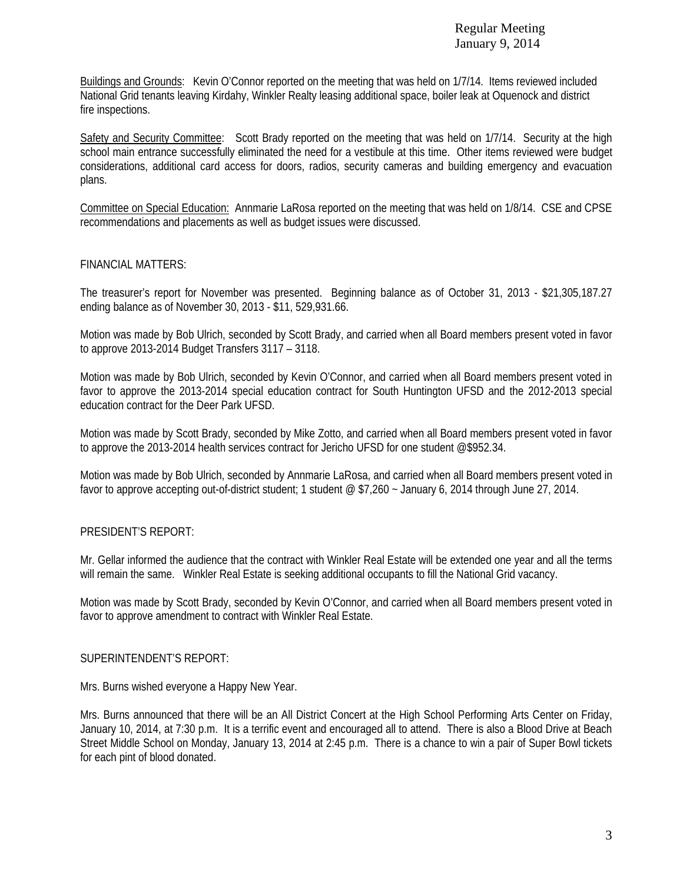Buildings and Grounds: Kevin O'Connor reported on the meeting that was held on 1/7/14. Items reviewed included National Grid tenants leaving Kirdahy, Winkler Realty leasing additional space, boiler leak at Oquenock and district fire inspections.

Safety and Security Committee: Scott Brady reported on the meeting that was held on 1/7/14. Security at the high school main entrance successfully eliminated the need for a vestibule at this time. Other items reviewed were budget considerations, additional card access for doors, radios, security cameras and building emergency and evacuation plans.

Committee on Special Education: Annmarie LaRosa reported on the meeting that was held on 1/8/14. CSE and CPSE recommendations and placements as well as budget issues were discussed.

## FINANCIAL MATTERS:

The treasurer's report for November was presented. Beginning balance as of October 31, 2013 - \$21,305,187.27 ending balance as of November 30, 2013 - \$11, 529,931.66.

Motion was made by Bob Ulrich, seconded by Scott Brady, and carried when all Board members present voted in favor to approve 2013-2014 Budget Transfers 3117 – 3118.

Motion was made by Bob Ulrich, seconded by Kevin O'Connor, and carried when all Board members present voted in favor to approve the 2013-2014 special education contract for South Huntington UFSD and the 2012-2013 special education contract for the Deer Park UFSD.

Motion was made by Scott Brady, seconded by Mike Zotto, and carried when all Board members present voted in favor to approve the 2013-2014 health services contract for Jericho UFSD for one student @\$952.34.

Motion was made by Bob Ulrich, seconded by Annmarie LaRosa, and carried when all Board members present voted in favor to approve accepting out-of-district student; 1 student @ \$7,260 ~ January 6, 2014 through June 27, 2014.

## PRESIDENT'S REPORT:

Mr. Gellar informed the audience that the contract with Winkler Real Estate will be extended one year and all the terms will remain the same. Winkler Real Estate is seeking additional occupants to fill the National Grid vacancy.

Motion was made by Scott Brady, seconded by Kevin O'Connor, and carried when all Board members present voted in favor to approve amendment to contract with Winkler Real Estate.

## SUPERINTENDENT'S REPORT:

Mrs. Burns wished everyone a Happy New Year.

Mrs. Burns announced that there will be an All District Concert at the High School Performing Arts Center on Friday, January 10, 2014, at 7:30 p.m. It is a terrific event and encouraged all to attend. There is also a Blood Drive at Beach Street Middle School on Monday, January 13, 2014 at 2:45 p.m. There is a chance to win a pair of Super Bowl tickets for each pint of blood donated.